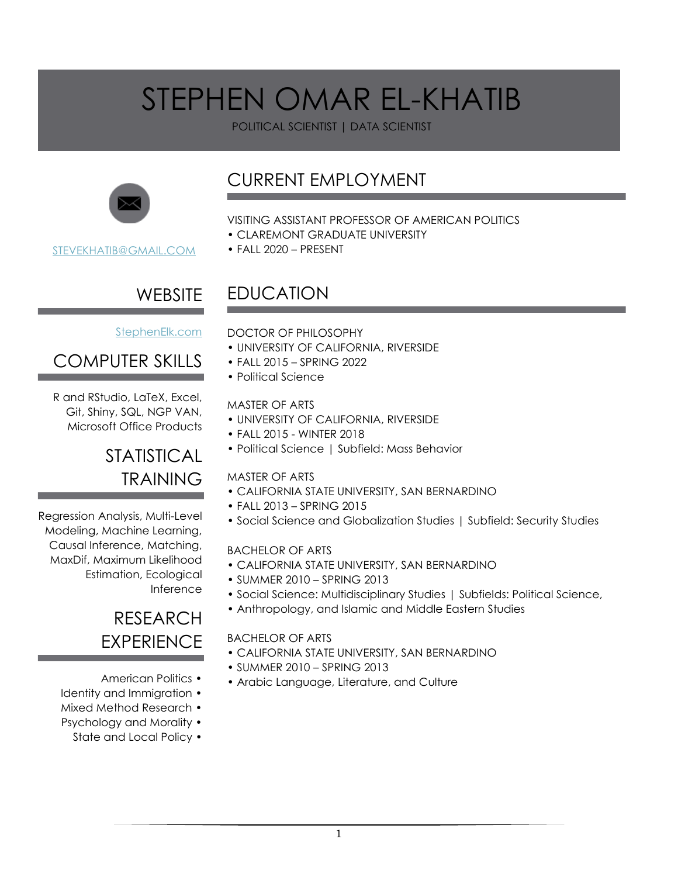POLITICAL SCIENTIST | DATA SCIENTIST



[STEVEKHATIB@GMAIL.COM](mailto:SteveKhatib@gmail.com)

## CURRENT EMPLOYMENT

#### VISITING ASSISTANT PROFESSOR OF AMERICAN POLITICS

- CLAREMONT GRADUATE UNIVERSITY
- FALL 2020 PRESENT

## **WEBSITE**

#### [StephenElk.com](https://d.docs.live.net/eb556bbce7625dfb/Documents/StephenElk.com)

## COMPUTER SKILLS

R and RStudio, LaTeX, Excel, Git, Shiny, SQL, NGP VAN, Microsoft Office Products

### STATISTICAL TRAINING

Regression Analysis, Multi-Level Modeling, Machine Learning, Causal Inference, Matching, MaxDif, Maximum Likelihood Estimation, Ecological Inference

### RESEARCH **EXPERIENCE**

- American Politics •
- Identity and Immigration •
- Mixed Method Research •
- Psychology and Morality
	- State and Local Policy •

## EDUCATION

#### DOCTOR OF PHILOSOPHY

- UNIVERSITY OF CALIFORNIA, RIVERSIDE
- FALL 2015 SPRING 2022
- Political Science

#### MASTER OF ARTS

- UNIVERSITY OF CALIFORNIA, RIVERSIDE
- FALL 2015 WINTER 2018
- Political Science | Subfield: Mass Behavior

#### MASTER OF ARTS

- CALIFORNIA STATE UNIVERSITY, SAN BERNARDINO
- FALL 2013 SPRING 2015
- Social Science and Globalization Studies | Subfield: Security Studies

#### BACHELOR OF ARTS

- CALIFORNIA STATE UNIVERSITY, SAN BERNARDINO
- SUMMER 2010 SPRING 2013
- Social Science: Multidisciplinary Studies | Subfields: Political Science,
- Anthropology, and Islamic and Middle Eastern Studies

#### BACHELOR OF ARTS

- CALIFORNIA STATE UNIVERSITY, SAN BERNARDINO
- SUMMER 2010 SPRING 2013
- Arabic Language, Literature, and Culture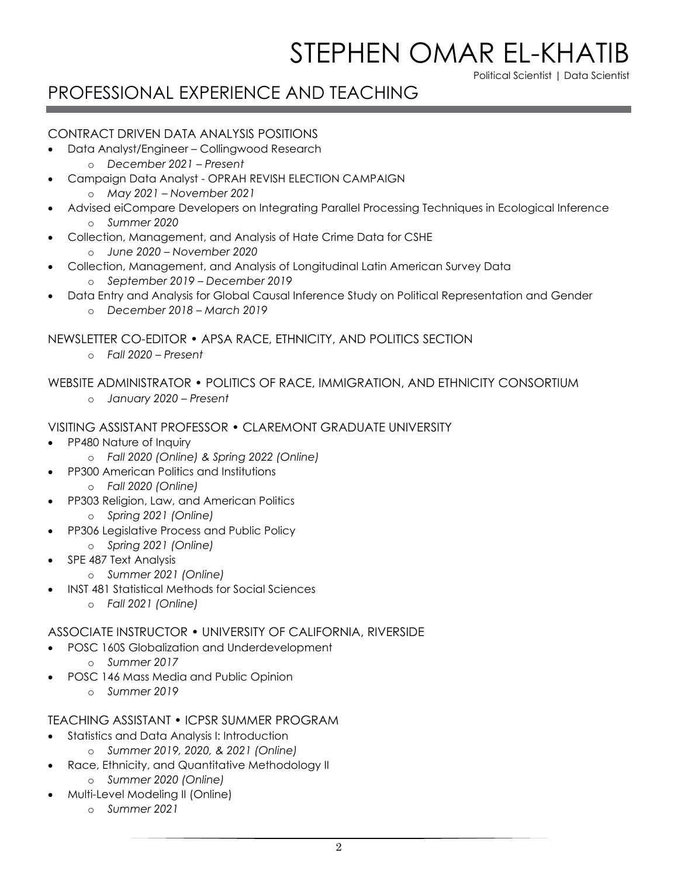Political Scientist | Data Scientist

## PROFESSIONAL EXPERIENCE AND TEACHING

#### CONTRACT DRIVEN DATA ANALYSIS POSITIONS

- Data Analyst/Engineer Collingwood Research
	- o *December 2021 – Present*
- Campaign Data Analyst OPRAH REVISH ELECTION CAMPAIGN
	- o *May 2021 – November 2021*
- Advised eiCompare Developers on Integrating Parallel Processing Techniques in Ecological Inference o *Summer 2020*
- Collection, Management, and Analysis of Hate Crime Data for CSHE
	- o *June 2020 – November 2020*
- Collection, Management, and Analysis of Longitudinal Latin American Survey Data
	- o *September 2019 – December 2019*
- Data Entry and Analysis for Global Causal Inference Study on Political Representation and Gender o *December 2018 – March 2019*

NEWSLETTER CO-EDITOR • APSA RACE, ETHNICITY, AND POLITICS SECTION

o *Fall 2020 – Present*

#### WEBSITE ADMINISTRATOR • POLITICS OF RACE, IMMIGRATION, AND ETHNICITY CONSORTIUM

o *January 2020 – Present*

#### VISITING ASSISTANT PROFESSOR • CLAREMONT GRADUATE UNIVERSITY

- PP480 Nature of Inquiry
	- o *Fall 2020 (Online) & Spring 2022 (Online)*
- PP300 American Politics and Institutions
	- o *Fall 2020 (Online)*
- PP303 Religion, Law, and American Politics
	- o *Spring 2021 (Online)*
- PP306 Legislative Process and Public Policy
	- o *Spring 2021 (Online)*
- SPE 487 Text Analysis
	- o *Summer 2021 (Online)*
- INST 481 Statistical Methods for Social Sciences
	- o *Fall 2021 (Online)*

#### ASSOCIATE INSTRUCTOR • UNIVERSITY OF CALIFORNIA, RIVERSIDE

- POSC 160S Globalization and Underdevelopment
	- o *Summer 2017*
- POSC 146 Mass Media and Public Opinion
	- o *Summer 2019*

#### TEACHING ASSISTANT • ICPSR SUMMER PROGRAM

- Statistics and Data Analysis I: Introduction
	- o *Summer 2019, 2020, & 2021 (Online)*
- Race, Ethnicity, and Quantitative Methodology II
	- o *Summer 2020 (Online)*
- Multi-Level Modeling II (Online)
	- o *Summer 2021*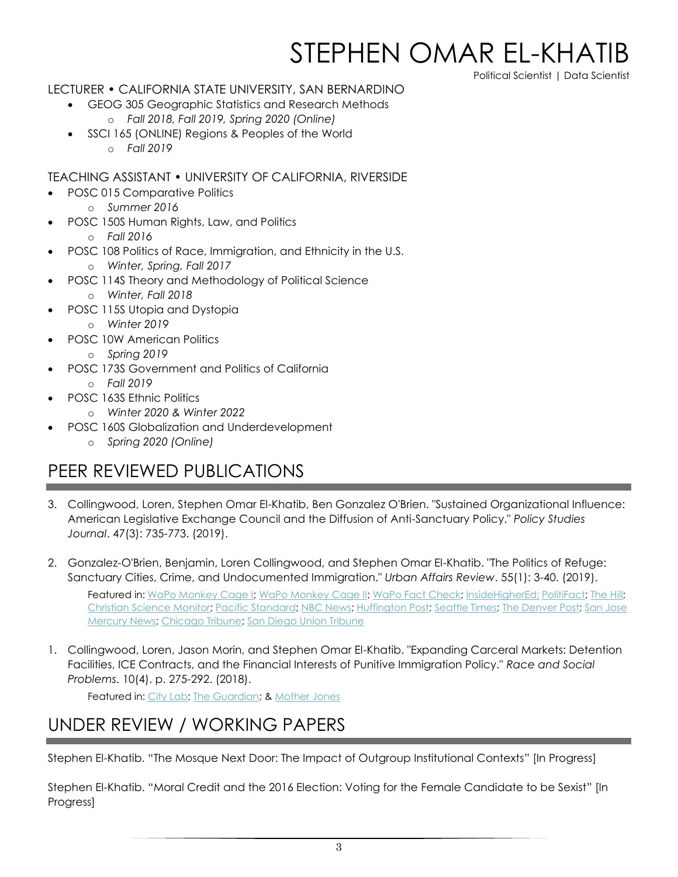Political Scientist | Data Scientist

#### LECTURER • CALIFORNIA STATE UNIVERSITY, SAN BERNARDINO

- GEOG 305 Geographic Statistics and Research Methods
	- o *Fall 2018, Fall 2019, Spring 2020 (Online)*
- SSCI 165 (ONLINE) Regions & Peoples of the World
	- o *Fall 2019*

#### TEACHING ASSISTANT • UNIVERSITY OF CALIFORNIA, RIVERSIDE

- POSC 015 Comparative Politics
	- o *Summer 2016*
- POSC 150S Human Rights, Law, and Politics
	- o *Fall 2016*
- POSC 108 Politics of Race, Immigration, and Ethnicity in the U.S.
	- o *Winter, Spring, Fall 2017*
- POSC 114S Theory and Methodology of Political Science
	- o *Winter, Fall 2018*
- POSC 115S Utopia and Dystopia
	- o *Winter 2019*
- POSC 10W American Politics
	- o *Spring 2019*
- POSC 173S Government and Politics of California o *Fall 2019*
	- POSC 163S Ethnic Politics
		- o *Winter 2020 & Winter 2022*
- POSC 160S Globalization and Underdevelopment
	- o *Spring 2020 (Online)*

## PEER REVIEWED PUBLICATIONS

- 3. Collingwood, Loren, Stephen Omar El-Khatib, Ben Gonzalez O'Brien. "Sustained Organizational Influence: American Legislative Exchange Council and the Diffusion of Anti-Sanctuary Policy." *Policy Studies Journal*. 47(3): 735-773. (2019).
- 2. Gonzalez-O'Brien, Benjamin, Loren Collingwood, and Stephen Omar El-Khatib. "The Politics of Refuge: Sanctuary Cities, Crime, and Undocumented Immigration." *Urban Affairs Review*. 55(1): 3-40. (2019).

Featured in: [WaPo Monkey Cage I;](https://www.washingtonpost.com/news/monkey-cage/wp/2016/10/03/sanctuary-cities-do-not-experience-an-increase-in-crime/) [WaPo Monkey Cage II;](https://www.washingtonpost.com/news/monkey-cage/wp/2017/07/14/jeff-sessions-used-our-research-to-claim-that-sanctuary-cities-have-more-crime-hes-wrong/) [WaPo Fact Check;](https://www.washingtonpost.com/news/fact-checker/wp/2017/07/17/attorney-general-jeff-sessionss-claim-that-criminals-take-notice-of-cities-with-sanctuary-policies/) [InsideHigherEd;](https://www.insidehighered.com/news/2017/07/17/academics-push-back-against-attorney-generals-misrepresentation-their-study) [PolitiFact;](https://www.politifact.com/truth-o-meter/statements/2017/jul/24/jeff-sessions/jeff-sessions-mischaracterizes-study-sanctuary-cit/) [The Hill;](https://thehill.com/blogs/pundits-blog/immigration/342043-how-conservative-media-and-jeff-sessions-got-it-wrong-on) [Christian Science Monitor;](https://www.csmonitor.com/USA/2017/0913/California-poised-to-become-sanctuary-state.-But-do-such-policies-work) [Pacific Standard;](https://psmag.com/news/calling-a-place-a-sanctuary-city-wont-lead-to-more-crime) [NBC News;](https://www.nbcnews.com/news/latino/opinion-immigration-trump-administration-chooses-messaging-over-facts-n783231) [Huffington Post;](https://www.huffpost.com/entry/jeff-sessions-sanctuary-cities_n_5967b870e4b0174186260c2b) [Seattle Times;](https://www.seattletimes.com/opinion/the-trump-teams-mythology-on-sanctuary-city-crime-rates/) [The Denver Post;](https://www.denverpost.com/2017/07/17/attorney-general-jeff-sessions-sanctuary-policies-fact-check/) [San Jose](https://www.mercurynews.com/2018/04/23/california-cities-are-rebelling-against-state-sanctuary-law-but-how-far-can-they-go/)  [Mercury News;](https://www.mercurynews.com/2018/04/23/california-cities-are-rebelling-against-state-sanctuary-law-but-how-far-can-they-go/) [Chicago Tribune;](https://www.chicagotribune.com/news/nationworld/sns-tns-bc-calif-sanctuarycities-20180423-story.html) [San Diego Union Tribune](https://www.sandiegouniontribune.com/news/immigration/sd-me-sanctuary-laws-20180525-story.html)

1. Collingwood, Loren, Jason Morin, and Stephen Omar El-Khatib. "Expanding Carceral Markets: Detention Facilities, ICE Contracts, and the Financial Interests of Punitive Immigration Policy." *Race and Social Problems*. 10(4). p. 275-292. (2018).

Featured in[: City Lab;](https://www.citylab.com/equity/2018/07/the-political-effect-of-your-neighborhood-private-immigrant-prison/564716/) [The Guardian;](https://www.theguardian.com/us-news/2018/jul/11/california-mall-license-plate-surveillance-ice-immigration) & [Mother Jones](https://www.motherjones.com/politics/2018/07/thanks-to-trumps-family-separations-democrats-are-in-the-hot-seat-for-taking-private-prison-cash/)

### UNDER REVIEW / WORKING PAPERS

Stephen El-Khatib. "The Mosque Next Door: The Impact of Outgroup Institutional Contexts" [In Progress]

Stephen El-Khatib. "Moral Credit and the 2016 Election: Voting for the Female Candidate to be Sexist" [In Progress]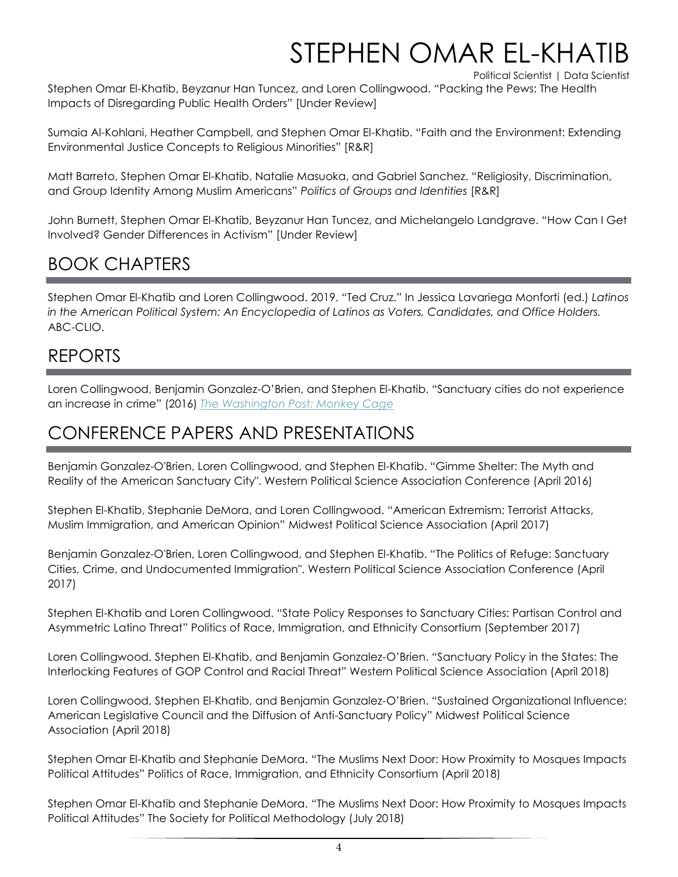Political Scientist | Data Scientist

Stephen Omar El-Khatib, Beyzanur Han Tuncez, and Loren Collingwood. "Packing the Pews: The Health Impacts of Disregarding Public Health Orders" [Under Review]

Sumaia Al-Kohlani, Heather Campbell, and Stephen Omar El-Khatib. "Faith and the Environment: Extending Environmental Justice Concepts to Religious Minorities" [R&R]

Matt Barreto, Stephen Omar El-Khatib, Natalie Masuoka, and Gabriel Sanchez. "Religiosity, Discrimination, and Group Identity Among Muslim Americans" *Politics of Groups and Identities* [R&R]

John Burnett, Stephen Omar El-Khatib, Beyzanur Han Tuncez, and Michelangelo Landgrave. "How Can I Get Involved? Gender Differences in Activism" [Under Review]

## BOOK CHAPTERS

Stephen Omar El-Khatib and Loren Collingwood. 2019. "Ted Cruz." In Jessica Lavariega Monforti (ed.) *Latinos in the American Political System: An Encyclopedia of Latinos as Voters, Candidates, and Office Holders.*  ABC-CLIO.

### REPORTS

Loren Collingwood, Benjamin Gonzalez-O'Brien, and Stephen El-Khatib. "Sanctuary cities do not experience an increase in crime" (2016) *[The Washington Post: Monkey Cage](https://www.washingtonpost.com/news/monkey-cage/wp/2016/10/03/sanctuary-cities-do-not-experience-an-increase-in-crime/)*

## CONFERENCE PAPERS AND PRESENTATIONS

Benjamin Gonzalez-O'Brien, Loren Collingwood, and Stephen El-Khatib. "Gimme Shelter: The Myth and Reality of the American Sanctuary City". Western Political Science Association Conference (April 2016)

Stephen El-Khatib, Stephanie DeMora, and Loren Collingwood. "American Extremism: Terrorist Attacks, Muslim Immigration, and American Opinion" Midwest Political Science Association (April 2017)

Benjamin Gonzalez-O'Brien, Loren Collingwood, and Stephen El-Khatib. "The Politics of Refuge: Sanctuary Cities, Crime, and Undocumented Immigration". Western Political Science Association Conference (April 2017)

Stephen El-Khatib and Loren Collingwood. "State Policy Responses to Sanctuary Cities: Partisan Control and Asymmetric Latino Threat" Politics of Race, Immigration, and Ethnicity Consortium (September 2017)

Loren Collingwood, Stephen El-Khatib, and Benjamin Gonzalez-O'Brien. "Sanctuary Policy in the States: The Interlocking Features of GOP Control and Racial Threat" Western Political Science Association (April 2018)

Loren Collingwood, Stephen El-Khatib, and Benjamin Gonzalez-O'Brien. "Sustained Organizational Influence: American Legislative Council and the Diffusion of Anti-Sanctuary Policy" Midwest Political Science Association (April 2018)

Stephen Omar El-Khatib and Stephanie DeMora. "The Muslims Next Door: How Proximity to Mosques Impacts Political Attitudes" Politics of Race, Immigration, and Ethnicity Consortium (April 2018)

Stephen Omar El-Khatib and Stephanie DeMora. "The Muslims Next Door: How Proximity to Mosques Impacts Political Attitudes" The Society for Political Methodology (July 2018)